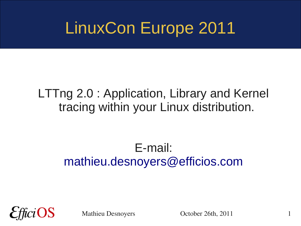#### LinuxCon Europe 2011

#### LTTng 2.0 : Application, Library and Kernel tracing within your Linux distribution.

#### E-mail: [mathieu.desnoyers@efficios.com](mailto:mathieu.desnoyers@efficios.com)



Mathieu Desnoyers **October 26th, 2011**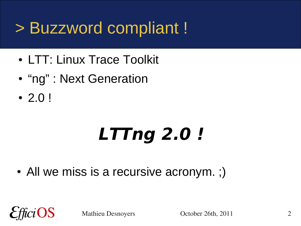#### > Buzzword compliant !

- LTT: Linux Trace Toolkit
- "ng" : Next Generation
- 2.0 !

# **LTTng 2.0 !**

• All we miss is a recursive acronym. ;)

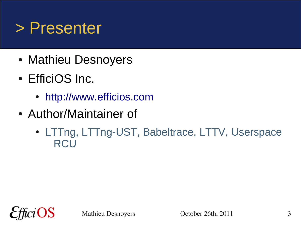#### > Presenter

- Mathieu Desnoyers
- EfficiOS Inc.
	- [http://www.efficios.com](http://www.efficios.com/)
- Author/Maintainer of
	- LTTng, LTTng-UST, Babeltrace, LTTV, Userspace **RCU**

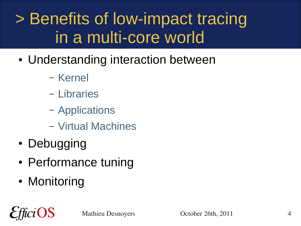#### > Benefits of low-impact tracing in a multi-core world

- Understanding interaction between
	- Kernel
	- Libraries
	- Applications
	- Virtual Machines
- Debugging
- Performance tuning
- Monitoring

OS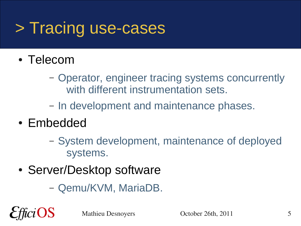#### > Tracing use-cases

- Telecom
	- Operator, engineer tracing systems concurrently with different instrumentation sets.
	- In development and maintenance phases.
- Embedded

OS

- System development, maintenance of deployed systems.
- Server/Desktop software
	- Qemu/KVM, MariaDB.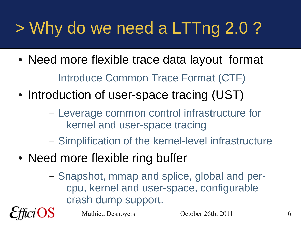## > Why do we need a LTTng 2.0 ?

- Need more flexible trace data layout format
	- Introduce Common Trace Format (CTF)
- Introduction of user-space tracing (UST)
	- Leverage common control infrastructure for kernel and user-space tracing
	- Simplification of the kernel-level infrastructure
- Need more flexible ring buffer
	- Snapshot, mmap and splice, global and percpu, kernel and user-space, configurable crash dump support.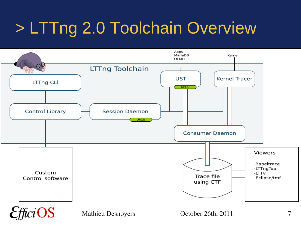### > LTTng 2.0 Toolchain Overview

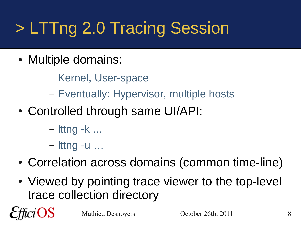# > LTTng 2.0 Tracing Session

- Multiple domains:
	- Kernel, User-space
	- Eventually: Hypervisor, multiple hosts
- Controlled through same UI/API:
	- lttng -k ...
	- lttng -u …

OS

- Correlation across domains (common time-line)
- Viewed by pointing trace viewer to the top-level trace collection directory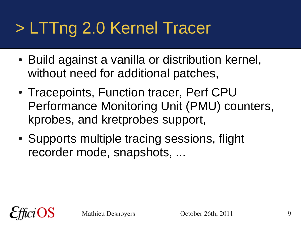### > LTTng 2.0 Kernel Tracer

- Build against a vanilla or distribution kernel, without need for additional patches,
- Tracepoints, Function tracer, Perf CPU Performance Monitoring Unit (PMU) counters, kprobes, and kretprobes support,
- Supports multiple tracing sessions, flight recorder mode, snapshots, ...

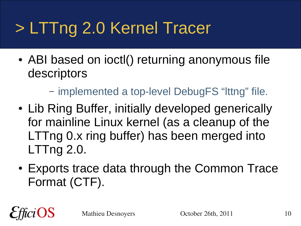## > LTTng 2.0 Kernel Tracer

- ABI based on ioctl() returning anonymous file descriptors
	- implemented a top-level DebugFS "lttng" file.
- Lib Ring Buffer, initially developed generically for mainline Linux kernel (as a cleanup of the LTTng 0.x ring buffer) has been merged into LTTng 2.0.
- Exports trace data through the Common Trace Format (CTF).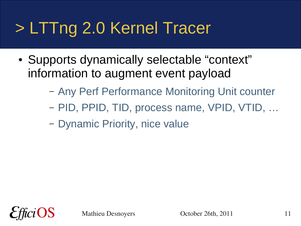### > LTTng 2.0 Kernel Tracer

- Supports dynamically selectable "context" information to augment event payload
	- Any Perf Performance Monitoring Unit counter
	- PID, PPID, TID, process name, VPID, VTID, …
	- Dynamic Priority, nice value

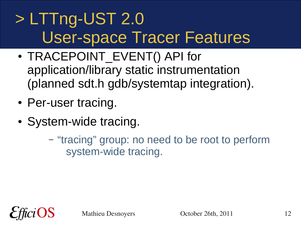#### > LTTng-UST 2.0 User-space Tracer Features

- TRACEPOINT EVENT() API for application/library static instrumentation (planned sdt.h gdb/systemtap integration).
- Per-user tracing.
- System-wide tracing.
	- "tracing" group: no need to be root to perform system-wide tracing.

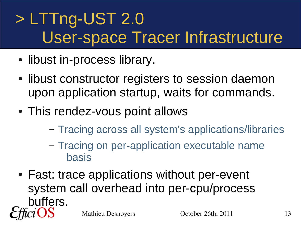### > LTTng-UST 2.0 User-space Tracer Infrastructure

- libust in-process library.
- libust constructor registers to session daemon upon application startup, waits for commands.
- This rendez-vous point allows
	- Tracing across all system's applications/libraries
	- Tracing on per-application executable name basis
- Mathieu Desnoyers Corober 26th, 2011 13 • Fast: trace applications without per-event system call overhead into per-cpu/process buffers.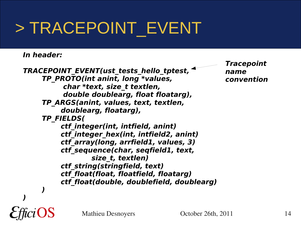#### > TRACEPOINT\_EVENT

#### **In header:**

**TRACEPOINT\_EVENT(ust\_tests\_hello\_tptest, TP\_PROTO(int anint, long \*values, char \*text, size\_t textlen, double doublearg, float floatarg), TP\_ARGS(anint, values, text, textlen, doublearg, floatarg), TP\_FIELDS( ctf\_integer(int, intfield, anint) ctf\_integer\_hex(int, intfield2, anint) ctf\_array(long, arrfield1, values, 3) ctf\_sequence(char, seqfield1, text, size\_t, textlen) ctf\_string(stringfield, text) ctf\_float(float, floatfield, floatarg) ctf\_float(double, doublefield, doublearg) ) )**

**Tracepoint name convention**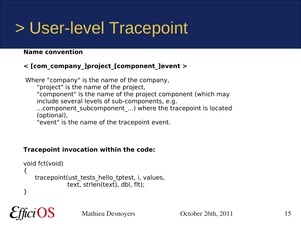#### > User-level Tracepoint

#### **Name convention**

#### **< [com\_company\_]project\_[component\_]event >**

Where "company" is the name of the company, "project" is the name of the project, "component" is the name of the project component (which may include several levels of sub-components, e.g. ...component\_subcomponent\_...) where the tracepoint is located (optional), "event" is the name of the tracepoint event.

#### **Tracepoint invocation within the code:**

```
void fct(void)
\{tracepoint (ust tests hello tptest, i, values,
                 text, strlen(text), dbl, flt);
}
```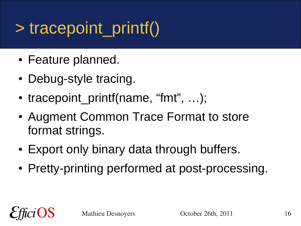# > tracepoint\_printf()

- Feature planned.
- Debug-style tracing.
- tracepoint printf(name, "fmt", ...);
- Augment Common Trace Format to store format strings.
- Export only binary data through buffers.
- Pretty-printing performed at post-processing.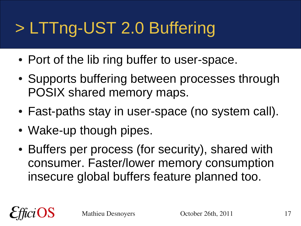## > LTTng-UST 2.0 Buffering

- Port of the lib ring buffer to user-space.
- Supports buffering between processes through POSIX shared memory maps.
- Fast-paths stay in user-space (no system call).
- Wake-up though pipes.
- Buffers per process (for security), shared with consumer. Faster/lower memory consumption insecure global buffers feature planned too.

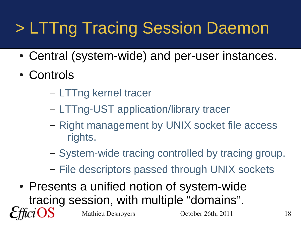## > LTTng Tracing Session Daemon

- Central (system-wide) and per-user instances.
- Controls
	- LTTng kernel tracer
	- LTTng-UST application/library tracer
	- Right management by UNIX socket file access rights.
	- System-wide tracing controlled by tracing group.
	- File descriptors passed through UNIX sockets
- Mathieu Desnoyers Corober 26th, 2011 18 • Presents a unified notion of system-wide tracing session, with multiple "domains".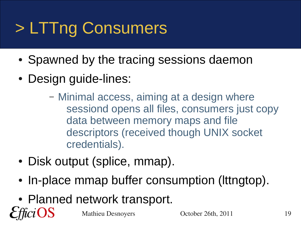## > LTTng Consumers

- Spawned by the tracing sessions daemon
- Design guide-lines:
	- Minimal access, aiming at a design where sessiond opens all files, consumers just copy data between memory maps and file descriptors (received though UNIX socket credentials).
- Disk output (splice, mmap).
- In-place mmap buffer consumption (Ittngtop).
- Planned network transport.

OS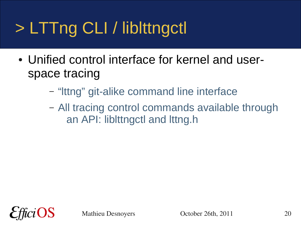# > LTTng CLI / liblttngctl

- Unified control interface for kernel and userspace tracing
	- "lttng" git-alike command line interface
	- All tracing control commands available through an API: liblttngctl and lttng.h

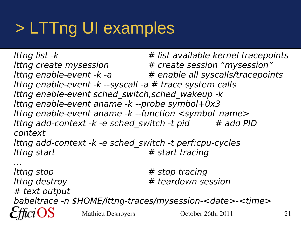#### > LTTng UI examples

Ittng list  $-k$   $\qquad \qquad \qquad$  # list available kernel tracepoints lttng create mysession  $#$  create session "mysession" Ittng enable-event -k -a  $\qquad \qquad #$  enable all syscalls/tracepoints lttng enable-event -k --syscall -a # trace system calls lttng enable-event sched\_switch,sched\_wakeup -k lttng enable-event aname -k --probe symbol+0x3 Ittng enable-event aname - $k$  --function <symbol name> Ittng add-context -k -e sched switch -t pid  $#$  add PID context lttng add-context -k -e sched\_switch -t perf:cpu-cycles lttng start  $\qquad$   $\qquad$   $\qquad$   $\qquad$   $\qquad$   $\qquad$  start tracing … lttng stop  $\#$  stop tracing

Ittng destroy  $#$  teardown session

babeltrace -n \$HOME/lttng-traces/mysession-<date>-<time>

Mathieu Desnoyers Corober 26th, 2011 21

# text output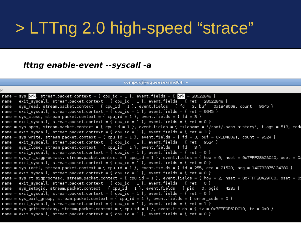#### > LTTng 2.0 high-speed "strace"

#### **lttng enable-event --syscall -a**

compudi@squeeze-amd64: ~

```
name = sys <mark>brk</mark>, stream.packet.context = { cpu id = 1 }, event.fields = { brk = 28622848 }
name = exit syscall, stream.packet.context = { cpu id = 1 }, event.fields = { ret = 28622848 }
name = sys_read, stream.packet.context = { cpu_id = 1 }, event.fields = { fd = 3, buf = 0x1B48008, count = 9645 }
name = exit syscall, stream.packet.context = { cpu id = 1 }, event.fields = { ret = 9645 }
name = sys close, stream.packet.context = { cpu id = 1 }, event.fields = { fd = 3 }
name = exit syscall, stream.packet.context = { cpu id = 1 }, event.fields = { ret = 0 }
name = sys open, stream.packet.context = { cpu id = 1 }, event.fields = { filename = "/root/.bash history", flags = 513, mode
name = exit syscall, stream.packet.context = { cpu id = 1 }, event.fields = { ret = 3 }
name = sys write, stream.packet.context = { cpu id = 1 }, event.fields = { fd = 3, buf = 0x1B48081, count = 9524 }
name = exit syscall, stream.packet.context = { cpu id = 1 }, event.fields = { ret = 9524 }
name = sys close, stream.packet.context = { cpu id = 1 }, event.fields = { fd = 3 }
name = exit syscall, stream.packet.context = { cpu id = 1 }, event.fields = { ret = 0 }
name = sys rt sigprocmask, stream.packet.context = { cpu id = 1 }, event.fields = { how = 0, nset = 0x7FFF28A2A040, oset = 0x
name = exit syscall, stream.packet.context = { cpu id = 1 }, event.fields = { ret = 0 }
name = sys ioctl, stream.packet.context = { cpu id = 1 }, event.fields = { fd = 255, cmd = 21520, arg = 140733875134380 }
name = exit syscall, stream.packet.context = { cpu id = 1 }, event.fields = { ret = 0 }
name = sys rt sigprocmask, stream.packet.context = { cpu id = 1 }, event.fields = { how = 2, nset = 0x7FFF28A29FC0, oset = 0x
name = exit syscall, stream.packet.context = { cpu id = 1 }, event.fields = { ret = 0 }
name = sys setpgid, stream.packet.context = { cpu id = 1 }, event.fields = { pid = 0, pgid = 4235 }
name = exit syscall, stream.packet.context = { cpu id = 1 }, event.fields = { ret = 0 }
name = sys_exit_group, stream.packet.context = { cpu_id = 1 }, event.fields = { error_code = 0 }
name = exit syscall, stream.packet.context = { cpu_id = 1 }, event.fields = { ret = 1 }
name = sys_gettimeofday, stream.packet.context = { cpu_id = 1 }, event.fields = { tv = 0x7FFF0E61DC10, tz = 0x0 }
name = exit syscall, stream.packet.context = { cpu id = 1 }, event.fields = { ret = 0 }
```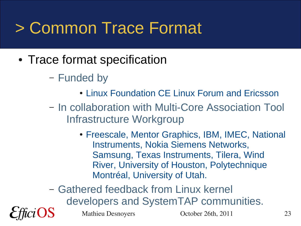#### > Common Trace Format

- Trace format specification
	- Funded by
		- Linux Foundation CE Linux Forum and Ericsson
	- In collaboration with Multi-Core Association Tool Infrastructure Workgroup
		- Freescale, Mentor Graphics, IBM, IMEC, National Instruments, Nokia Siemens Networks, Samsung, Texas Instruments, Tilera, Wind River, University of Houston, Polytechnique Montréal, University of Utah.
	- Gathered feedback from Linux kernel developers and SystemTAP communities.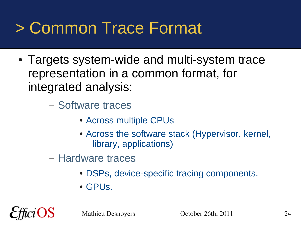#### > Common Trace Format

- Targets system-wide and multi-system trace representation in a common format, for integrated analysis:
	- Software traces
		- Across multiple CPUs
		- Across the software stack (Hypervisor, kernel, library, applications)
	- Hardware traces
		- DSPs, device-specific tracing components.
		- GPUs.

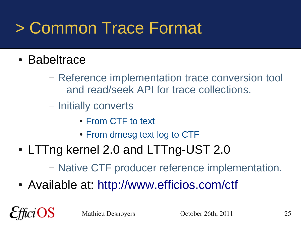#### > Common Trace Format

- Babeltrace
	- Reference implementation trace conversion tool and read/seek API for trace collections.
	- Initially converts
		- From CTF to text
		- From dmesg text log to CTF
- LTTng kernel 2.0 and LTTng-UST 2.0
	- Native CTF producer reference implementation.
- Available at: <http://www.efficios.com/ctf>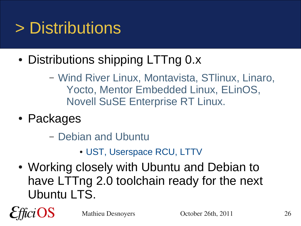#### > Distributions

- Distributions shipping LTTng 0.x
	- Wind River Linux, Montavista, STlinux, Linaro, Yocto, Mentor Embedded Linux, ELinOS, Novell SuSE Enterprise RT Linux.
- Packages
	- Debian and Ubuntu
		- UST, Userspace RCU, LTTV
- Working closely with Ubuntu and Debian to have LTTng 2.0 toolchain ready for the next Ubuntu LTS.

OS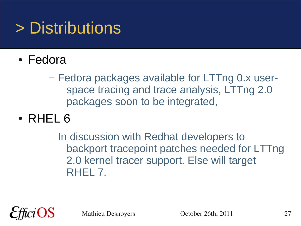### > Distributions

- Fedora
	- Fedora packages available for LTTng 0.x userspace tracing and trace analysis, LTTng 2.0 packages soon to be integrated,
- RHEL 6
	- In discussion with Redhat developers to backport tracepoint patches needed for LTTng 2.0 kernel tracer support. Else will target RHEL 7.

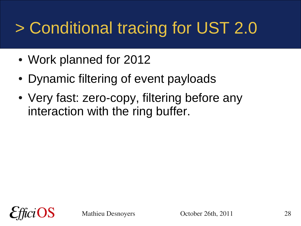## > Conditional tracing for UST 2.0

- Work planned for 2012
- Dynamic filtering of event payloads
- Very fast: zero-copy, filtering before any interaction with the ring buffer.

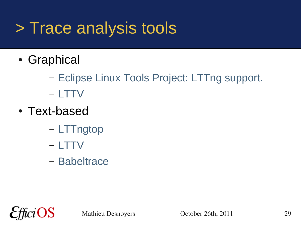#### > Trace analysis tools

- Graphical
	- Eclipse Linux Tools Project: LTTng support.
	- LTTV
- Text-based
	- LTTngtop
	- LTTV
	- Babeltrace

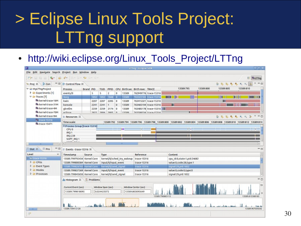#### > Eclipse Linux Tools Project: LTTng support

#### • http://wiki.eclipse.org/Linux Tools Project/LTTng

|                                                                                                      |                                     |                                                                                                                         |                    |                                        |                           | LTTng - Eclipse SDK                      |                       |                            |           |                                     |           | erar                             |  |
|------------------------------------------------------------------------------------------------------|-------------------------------------|-------------------------------------------------------------------------------------------------------------------------|--------------------|----------------------------------------|---------------------------|------------------------------------------|-----------------------|----------------------------|-----------|-------------------------------------|-----------|----------------------------------|--|
| Eile Edit Navigate Search Project Run Window Help                                                    |                                     |                                                                                                                         |                    |                                        |                           |                                          |                       |                            |           |                                     |           |                                  |  |
| MOO Q G P B O D Q C<br>$C_1$                                                                         |                                     |                                                                                                                         |                    |                                        |                           |                                          |                       |                            |           |                                     |           | E RELTTIng                       |  |
| $E$ Con<br>- 8<br>电 Proj 21                                                                          | Control Flow 22                     |                                                                                                                         |                    |                                        |                           |                                          |                       |                            |           | 2 3 3 3 4 5 6 6                     |           | $-$                              |  |
| ▽ IB MyLTTngProject                                                                                  | Process                             | Brand PID                                                                                                               |                    |                                        |                           | TGID PPID CPU Birth sec Birth nsec TRACE |                       | 13589:795                  | 13589:800 | 13589:805                           | 13589:810 |                                  |  |
| <b>D</b> Experiments [1]                                                                             | events/0                            | š                                                                                                                       | 5                  | $\bar{z}$<br>0                         | 13589                     |                                          | 762949776 trace-15316 |                            |           |                                     |           |                                  |  |
| $\nabla$ ( $\rightarrow$ Traces [7]                                                                  | Xorg                                | 1852                                                                                                                    | 1852               | 1848 0                                 | 13589                     |                                          | 763322183 trace-15316 | l III<br>T                 |           | H                                   |           | <b>BERTHE</b>                    |  |
| Re kernel-trace-16M                                                                                  | kwin                                | 2207                                                                                                                    |                    | 2207 2205 0                            | 13589                     |                                          | 763415321 trace-15316 |                            |           |                                     |           |                                  |  |
| Re kernel-trace-31M                                                                                  | konsole                             | 2241                                                                                                                    | 2241               | $\Omega$                               | 13589                     |                                          | 763465194 trace-15316 |                            |           |                                     |           |                                  |  |
| Re kernel-trace-4M                                                                                   | gkrellm                             | 2259                                                                                                                    |                    | 2259 2174 0                            | 13589                     |                                          | 763485178 trace-15316 |                            |           |                                     |           |                                  |  |
| We kernel-trace-70M                                                                                  |                                     | ×<br>763500334 trans.15316<br>arlinca<br>3933<br>13580<br>2806<br>$2005 - 0$                                            |                    |                                        |                           |                                          |                       |                            |           |                                     |           |                                  |  |
| <b>Re</b> kernel-trace-9M                                                                            | $\equiv$ Resources $\Im$            |                                                                                                                         |                    |                                        |                           |                                          |                       |                            |           | $R_{\rm h}$<br>$\mathbf{e}_i$<br>价格 | 9.89      | 000<br>步                         |  |
| L. trace-15316<br><b>B</b> trace-15471                                                               | Time scale:                         | 13589:792 13589:794 13589:796 13589:798 13589:800 13589:802 13589:804 13589:806 13589:808 13589:810 13589:812 13589:814 |                    |                                        |                           |                                          |                       |                            |           |                                     |           |                                  |  |
|                                                                                                      | Process Group [trace-15316]         |                                                                                                                         |                    |                                        |                           |                                          |                       |                            |           |                                     |           |                                  |  |
|                                                                                                      | CPU <sub>0</sub>                    |                                                                                                                         |                    |                                        |                           |                                          |                       |                            |           |                                     |           |                                  |  |
|                                                                                                      | IRQ 239                             | IRO <sub>1</sub>                                                                                                        |                    |                                        |                           |                                          |                       |                            |           |                                     |           |                                  |  |
|                                                                                                      | SOFT IRQ 1                          |                                                                                                                         |                    |                                        |                           |                                          |                       |                            |           |                                     |           |                                  |  |
|                                                                                                      |                                     |                                                                                                                         |                    |                                        |                           |                                          |                       |                            |           |                                     |           |                                  |  |
|                                                                                                      | a destruir caballa                  |                                                                                                                         |                    |                                        | 18 <sup>2</sup>           |                                          |                       |                            |           |                                     |           | $  \rangle$                      |  |
|                                                                                                      | $\vert \cdot \vert$ $\vert$ $\vert$ |                                                                                                                         |                    |                                        |                           |                                          |                       |                            |           |                                     |           |                                  |  |
| - 8<br>$=$ Pro                                                                                       | E Events - trace-15316 88           |                                                                                                                         |                    |                                        |                           |                                          |                       |                            |           |                                     |           | --                               |  |
| ×                                                                                                    | Timestamp                           | Source                                                                                                                  | Type               |                                        |                           | Reference                                |                       | Content                    |           |                                     |           | ⊡                                |  |
|                                                                                                      | 13589.799792434 Kernel Core         |                                                                                                                         |                    |                                        | kernel/0/sched try wakeup | trace-15316                              |                       | cpu id:0,state:1,pid:24682 |           |                                     |           |                                  |  |
|                                                                                                      | 13589.799800384 Kernel Core         |                                                                                                                         |                    | input/0/input_event                    |                           | trace-15316                              |                       | value:0,code:28,type:1     |           |                                     |           |                                  |  |
| $\Box$ Stat $\Sigma$<br>Level<br><b>7 M trace-15316</b><br>$D$ $\oplus$ CPUs<br><b>D</b> Event Types | 13589.799826765 Kernel Core         |                                                                                                                         |                    | kernel/0/send_signal                   |                           | trace-15316                              |                       | signal:29,pid:1852         |           |                                     |           |                                  |  |
|                                                                                                      | 13589.799837369 Kernel Core         |                                                                                                                         |                    | input/0/input_event                    |                           | trace-15316                              |                       | value:0,code:0,type:0      |           |                                     |           |                                  |  |
|                                                                                                      | 13589.799845650 Kernel Core         |                                                                                                                         |                    | kernel/0/send_signal                   |                           | trace-15316                              |                       | signal:29,pid:1852         |           |                                     |           | $\omega$                         |  |
| <b>D D</b> Processes                                                                                 | Histogram &                         | Problems                                                                                                                |                    |                                        |                           |                                          |                       |                            |           |                                     |           | $-0$                             |  |
|                                                                                                      |                                     |                                                                                                                         |                    |                                        |                           |                                          |                       |                            |           |                                     |           |                                  |  |
| $D \cong$ Modes                                                                                      | Current Event (sec)                 |                                                                                                                         | Window Span (sec)- |                                        |                           | Window Center (sec)                      |                       |                            |           |                                     |           | 19                               |  |
|                                                                                                      | 13589.799818095                     |                                                                                                                         | 0.024425072        |                                        |                           | 13589.803095649                          |                       |                            |           |                                     |           |                                  |  |
|                                                                                                      |                                     |                                                                                                                         |                    |                                        |                           |                                          |                       | 13589.790883113            |           |                                     |           | 13589.815308185                  |  |
|                                                                                                      |                                     |                                                                                                                         |                    |                                        |                           |                                          |                       |                            |           |                                     |           |                                  |  |
|                                                                                                      |                                     |                                                                                                                         |                    |                                        |                           |                                          |                       |                            |           |                                     |           |                                  |  |
| $4 - 11$                                                                                             | $ p $ 13589.759412128               |                                                                                                                         |                    | and an illink of a based of the filled |                           |                                          |                       |                            |           | وأمتعاقه ورخاله أندر فتتم           |           | <b>TAN AS</b><br>13589.907059242 |  |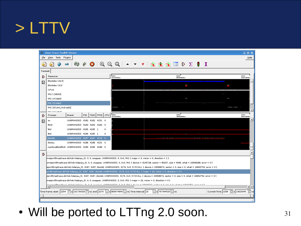#### > LTTV

|              | <b>Linux Trace Toolkit Viewer</b>                                                                                                                                                                                                                                                                                                                   |                                                     |      |      |             |               |                                                                                      |                                                                                                                        | $  \infty$                                  |  |  |  |  |
|--------------|-----------------------------------------------------------------------------------------------------------------------------------------------------------------------------------------------------------------------------------------------------------------------------------------------------------------------------------------------------|-----------------------------------------------------|------|------|-------------|---------------|--------------------------------------------------------------------------------------|------------------------------------------------------------------------------------------------------------------------|---------------------------------------------|--|--|--|--|
| File         | View Tools Plugins                                                                                                                                                                                                                                                                                                                                  |                                                     |      |      |             |               |                                                                                      |                                                                                                                        | Help                                        |  |  |  |  |
|              |                                                                                                                                                                                                                                                                                                                                                     |                                                     |      |      | $\bigoplus$ | $\Theta$      |                                                                                      | Q   ▲ ▼ ×   全全全国 D ∑ B I                                                                                               |                                             |  |  |  |  |
|              | Traceset                                                                                                                                                                                                                                                                                                                                            |                                                     |      |      |             |               |                                                                                      |                                                                                                                        |                                             |  |  |  |  |
| Ð            | Resource                                                                                                                                                                                                                                                                                                                                            |                                                     |      |      |             |               | 52540<br>101730325nz                                                                 | 22622<br>485402585n:                                                                                                   | 2270g<br>863074845n                         |  |  |  |  |
| ଛ            | Blockdev (22.0)                                                                                                                                                                                                                                                                                                                                     |                                                     |      |      |             |               |                                                                                      |                                                                                                                        |                                             |  |  |  |  |
|              | Blockdev (3.0)                                                                                                                                                                                                                                                                                                                                      |                                                     |      |      |             |               |                                                                                      |                                                                                                                        |                                             |  |  |  |  |
|              | CPUO                                                                                                                                                                                                                                                                                                                                                |                                                     |      |      |             |               |                                                                                      |                                                                                                                        |                                             |  |  |  |  |
|              | IRQ 1 [i8042]                                                                                                                                                                                                                                                                                                                                       |                                                     |      |      |             |               |                                                                                      |                                                                                                                        |                                             |  |  |  |  |
|              | IRQ 14 [ide0]                                                                                                                                                                                                                                                                                                                                       |                                                     |      |      |             |               |                                                                                      |                                                                                                                        |                                             |  |  |  |  |
|              | IRQ 15 [ide1]                                                                                                                                                                                                                                                                                                                                       |                                                     |      |      |             |               |                                                                                      |                                                                                                                        |                                             |  |  |  |  |
|              | IRQ 18 [uhci_hcd:usb2]                                                                                                                                                                                                                                                                                                                              |                                                     |      |      |             |               |                                                                                      |                                                                                                                        |                                             |  |  |  |  |
|              | inn an Letol<br>Process                                                                                                                                                                                                                                                                                                                             | Brand                                               | PID. | TGID |             | PPID CPU 2254 |                                                                                      | 2262:                                                                                                                  | 22702                                       |  |  |  |  |
| Ð            |                                                                                                                                                                                                                                                                                                                                                     |                                                     |      |      |             |               | 101730325nz                                                                          | 485402585nz                                                                                                            | 869074845n:<br>∸                            |  |  |  |  |
| ଛ            | su                                                                                                                                                                                                                                                                                                                                                  | UNBRANDED 4182 4182 4151 0                          |      |      |             |               |                                                                                      |                                                                                                                        |                                             |  |  |  |  |
|              | lttctl                                                                                                                                                                                                                                                                                                                                              | UNBRANDED 4183 4183 4182 0                          |      |      |             |               |                                                                                      |                                                                                                                        |                                             |  |  |  |  |
|              | lttd<br>Ittd                                                                                                                                                                                                                                                                                                                                        | UNBRANDED 4185 4185 1                               |      |      |             | Ω<br>Ω        |                                                                                      |                                                                                                                        |                                             |  |  |  |  |
|              | /bin/dd                                                                                                                                                                                                                                                                                                                                             | UNBRANDED 4186 4185 1<br>UNBRANDED 4187 4187 4176 0 |      |      |             |               |                                                                                      | <u> 1999 - Johann Barn, mars ann an t-Alban an t-Alban ann an t-Alban an t-Alban ann an t-Alban an t-Alban ann an </u> |                                             |  |  |  |  |
|              | /bin/su                                                                                                                                                                                                                                                                                                                                             | UNBRANDED 4188 4188                                 |      |      | 4151 0      |               |                                                                                      |                                                                                                                        |                                             |  |  |  |  |
|              | /usr/local/bin/ltt.ctl UNBRANDED 4189 4189 4188                                                                                                                                                                                                                                                                                                     |                                                     |      |      |             |               |                                                                                      |                                                                                                                        |                                             |  |  |  |  |
|              |                                                                                                                                                                                                                                                                                                                                                     |                                                     |      |      |             |               |                                                                                      |                                                                                                                        |                                             |  |  |  |  |
| $\mathbf{D}$ |                                                                                                                                                                                                                                                                                                                                                     |                                                     |      |      |             |               |                                                                                      |                                                                                                                        |                                             |  |  |  |  |
|              | {\me/pmf/tmp/trace-dd-hdc-hda/cpu_0), 0, 0, swapper, UNBRANDED, 0, 0x0, IRQ { major = 3, minor = 0, direction = 1                                                                                                                                                                                                                                   |                                                     |      |      |             |               |                                                                                      |                                                                                                                        |                                             |  |  |  |  |
|              | ome/pmf/tmp/trace-dd-hdc-hda/cpu_0), 0, 0, swapper, UNBRANDED, 0, 0x0, IRQ { device = 3145728, sector = 80207, size = 4096, what = 16908288, error = 0 }                                                                                                                                                                                            |                                                     |      |      |             |               |                                                                                      |                                                                                                                        |                                             |  |  |  |  |
|              | 2) pmf/tmp/trace-dd-hdc-hda/cpu_0), 4187, 4187, /bin/dd, UNBRANDED, 4176, 0x0, SYSCALL { device = 23068672, sector = 0, size = 0, what = 16842752, error = 0 }                                                                                                                                                                                      |                                                     |      |      |             |               |                                                                                      |                                                                                                                        |                                             |  |  |  |  |
|              | pmf/tmp/trace-dd-hdc-hda/cpu_0), 4187, 4187, /bin/dd, UNBRANDED, 4176, 0x0, SYSCALL { major = 22, minor = 0, direction = 0 }                                                                                                                                                                                                                        |                                                     |      |      |             |               |                                                                                      |                                                                                                                        |                                             |  |  |  |  |
|              | (pmf/tmp/trace-dd-hdc-hda/cpu_0), 4187, 4187, /bin/dd, UNBRANDED, 4176, 0x0, SYSCALL { device = 23068672, sector = 0, size = 0, what = 16842752, error = 0 }                                                                                                                                                                                        |                                                     |      |      |             |               |                                                                                      |                                                                                                                        |                                             |  |  |  |  |
|              | me/pmf/tmp/trace-dd-hdc-hda/cpu_0), 0, 0, swapper, UNBRANDED, 0, 0x0, IRQ { major = 22, minor = 0, direction = 0 }<br>in a contract the contract of the contract information of the contract of the contract of the contract of the contract of the contract of the contract of the contract of the contract of the contract of the contract of the |                                                     |      |      |             |               |                                                                                      |                                                                                                                        |                                             |  |  |  |  |
|              |                                                                                                                                                                                                                                                                                                                                                     |                                                     |      |      |             |               |                                                                                      |                                                                                                                        | $\blacktriangleright$ $\blacktriangleright$ |  |  |  |  |
|              |                                                                                                                                                                                                                                                                                                                                                     |                                                     |      |      |             |               | Time Frame start: 2254 S 101730325 s ns end: 2270 s 869074845 s ns Time Interval: 16 | $\frac{1}{x}$ s 13623345<br>$\frac{1}{2}$ s 767344520 $\frac{1}{2}$ ns<br>Current Time: 2258                           | 百ns                                         |  |  |  |  |
|              |                                                                                                                                                                                                                                                                                                                                                     |                                                     |      |      |             |               |                                                                                      |                                                                                                                        |                                             |  |  |  |  |
|              |                                                                                                                                                                                                                                                                                                                                                     |                                                     |      |      |             |               |                                                                                      |                                                                                                                        |                                             |  |  |  |  |

• Will be ported to LTTng 2.0 soon. 31